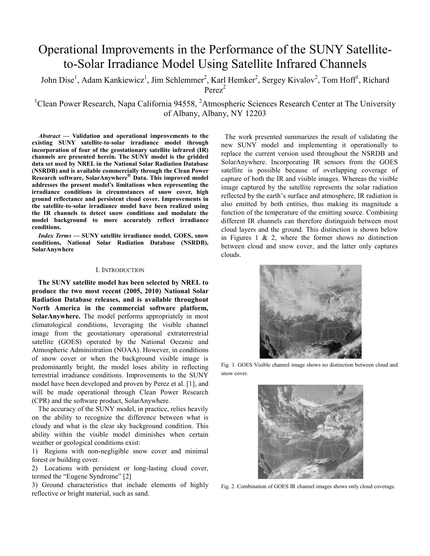# Operational Improvements in the Performance of the SUNY Satelliteto-Solar Irradiance Model Using Satellite Infrared Channels

John Dise<sup>1</sup>, Adam Kankiewicz<sup>1</sup>, Jim Schlemmer<sup>2</sup>, Karl Hemker<sup>2</sup>, Sergey Kivalov<sup>2</sup>, Tom Hoff<sup>1</sup>, Richard  $Perez^2$ 

<sup>1</sup>Clean Power Research, Napa California 94558, <sup>2</sup>Atmospheric Sciences Research Center at The University of Albany, Albany, NY 12203

*Abstract* **— Validation and operational improvements to the existing SUNY satellite-to-solar irradiance model through incorporation of four of the geostationary satellite infrared (IR) channels are presented herein. The SUNY model is the gridded data set used by NREL in the National Solar Radiation Database (NSRDB) and is available commercially through the Clean Power Research software, SolarAnywhere® Data. This improved model addresses the present model's limitations when representing the irradiance conditions in circumstances of snow cover, high ground reflectance and persistent cloud cover. Improvements in the satellite-to-solar irradiance model have been realized using the IR channels to detect snow conditions and modulate the model background to more accurately reflect irradiance conditions.**

*Index Terms* **— SUNY satellite irradiance model, GOES, snow conditions, National Solar Radiation Database (NSRDB), SolarAnywhere**

#### I. INTRODUCTION

**The SUNY satellite model has been selected by NREL to produce the two most recent (2005, 2010) National Solar Radiation Database releases, and is available throughout North America in the commercial software platform, SolarAnywhere.** The model performs appropriately in most climatological conditions, leveraging the visible channel image from the geostationary operational extraterrestrial satellite (GOES) operated by the National Oceanic and Atmospheric Administration (NOAA). However, in conditions of snow cover or when the background visible image is predominantly bright, the model loses ability in reflecting terrestrial irradiance conditions. Improvements to the SUNY model have been developed and proven by Perez et al. [1], and will be made operational through Clean Power Research (CPR) and the software product, SolarAnywhere.

The accuracy of the SUNY model, in practice, relies heavily on the ability to recognize the difference between what is cloudy and what is the clear sky background condition. This ability within the visible model diminishes when certain weather or geological conditions exist:

1) Regions with non-negligible snow cover and minimal forest or building cover.

2) Locations with persistent or long-lasting cloud cover, termed the "Eugene Syndrome" [2]

3) Ground characteristics that include elements of highly reflective or bright material, such as sand.

 The work presented summarizes the result of validating the new SUNY model and implementing it operationally to replace the current version used throughout the NSRDB and SolarAnywhere. Incorporating IR sensors from the GOES satellite is possible because of overlapping coverage of capture of both the IR and visible images. Whereas the visible image captured by the satellite represents the solar radiation reflected by the earth's surface and atmosphere, IR radiation is also emitted by both entities, thus making its magnitude a function of the temperature of the emitting source. Combining different IR channels can therefore distinguish between most cloud layers and the ground. This distinction is shown below in Figures 1  $\&$  2, where the former shows no distinction between cloud and snow cover, and the latter only captures clouds.



Fig. 1. GOES Visible channel image shows no distinction between cloud and snow cover.



Fig. 2. Combination of GOES IR channel images shows only cloud coverage.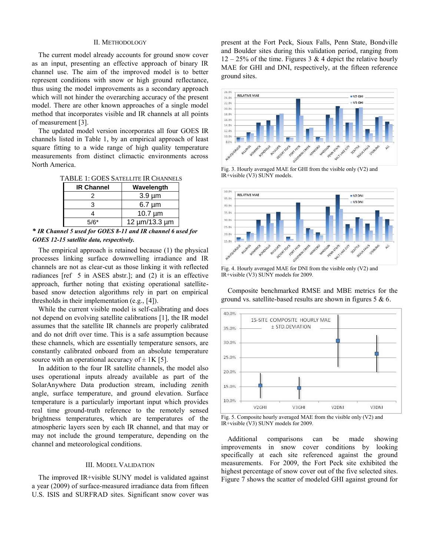## II. METHODOLOGY

The current model already accounts for ground snow cover as an input, presenting an effective approach of binary IR channel use. The aim of the improved model is to better represent conditions with snow or high ground reflectance, thus using the model improvements as a secondary approach which will not hinder the overarching accuracy of the present model. There are other known approaches of a single model method that incorporates visible and IR channels at all points of measurement [3].

The updated model version incorporates all four GOES IR channels listed in Table 1, by an empirical approach of least square fitting to a wide range of high quality temperature measurements from distinct climactic environments across North America.

TABLE 1: GOES SATELLITE IR CHANNELS

| <b>IR Channel</b> | Wavelength            |
|-------------------|-----------------------|
|                   | $3.9 \mu m$           |
|                   | $6.7 \mu m$           |
|                   | $10.7 \mu m$          |
| $5/6*$            | $12 \mu m/13.3 \mu m$ |

*\* IR Channel 5 used for GOES 8-11 and IR channel 6 used for GOES 12-15 satellite data, respectively.*

The empirical approach is retained because (1) the physical processes linking surface downwelling irradiance and IR channels are not as clear-cut as those linking it with reflected radiances [ref 5 in ASES abstr.]; and (2) it is an effective approach, further noting that existing operational satellitebased snow detection algorithms rely in part on empirical thresholds in their implementation (e.g., [4]).

While the current visible model is self-calibrating and does not depend on evolving satellite calibrations [1], the IR model assumes that the satellite IR channels are properly calibrated and do not drift over time. This is a safe assumption because these channels, which are essentially temperature sensors, are constantly calibrated onboard from an absolute temperature source with an operational accuracy of  $\pm$  1K [5].

In addition to the four IR satellite channels, the model also uses operational inputs already available as part of the SolarAnywhere Data production stream, including zenith angle, surface temperature, and ground elevation. Surface temperature is a particularly important input which provides real time ground-truth reference to the remotely sensed brightness temperatures, which are temperatures of the atmospheric layers seen by each IR channel, and that may or may not include the ground temperature, depending on the channel and meteorological conditions.

## III. MODEL VALIDATION

The improved IR+visible SUNY model is validated against a year (2009) of surface-measured irradiance data from fifteen U.S. ISIS and SURFRAD sites. Significant snow cover was

present at the Fort Peck, Sioux Falls, Penn State, Bondville and Boulder sites during this validation period, ranging from  $12 - 25\%$  of the time. Figures 3 & 4 depict the relative hourly MAE for GHI and DNI, respectively, at the fifteen reference ground sites.



Fig. 3. Hourly averaged MAE for GHI from the visible only (V2) and IR+visible (V3) SUNY models.



Fig. 4. Hourly averaged MAE for DNI from the visible only (V2) and IR+visible (V3) SUNY models for 2009.

Composite benchmarked RMSE and MBE metrics for the ground vs. satellite-based results are shown in figures  $5 & 6$ .



Fig. 5. Composite hourly averaged MAE from the visible only (V2) and IR+visible (V3) SUNY models for 2009.

Additional comparisons can be made showing improvements in snow cover conditions by looking specifically at each site referenced against the ground measurements. For 2009, the Fort Peck site exhibited the highest percentage of snow cover out of the five selected sites. Figure 7 shows the scatter of modeled GHI against ground for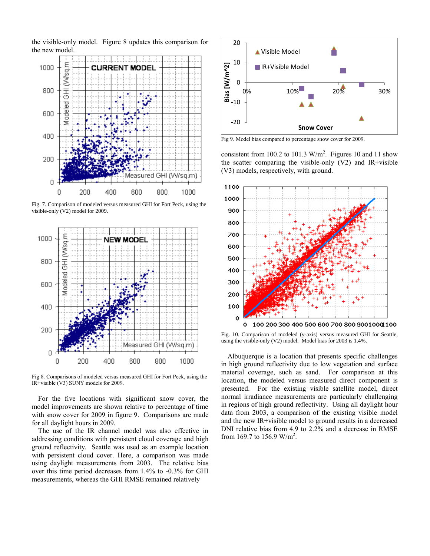the visible-only model. Figure 8 updates this comparison for the new model.



Fig. 7. Comparison of modeled versus measured GHI for Fort Peck, using the visible-only (V2) model for 2009.



Fig 8. Comparisons of modeled versus measured GHI for Fort Peck, using the IR+visible (V3) SUNY models for 2009.

For the five locations with significant snow cover, the model improvements are shown relative to percentage of time with snow cover for 2009 in figure 9. Comparisons are made for all daylight hours in 2009.

The use of the IR channel model was also effective in addressing conditions with persistent cloud coverage and high ground reflectivity. Seattle was used as an example location with persistent cloud cover. Here, a comparison was made using daylight measurements from 2003. The relative bias over this time period decreases from 1.4% to -0.3% for GHI measurements, whereas the GHI RMSE remained relatively



Fig 9. Model bias compared to percentage snow cover for 2009.

consistent from 100.2 to 101.3  $W/m^2$ . Figures 10 and 11 show the scatter comparing the visible-only (V2) and IR+visible (V3) models, respectively, with ground.



Fig. 10. Comparison of modeled (y-axis) versus measured GHI for Seattle, using the visible-only (V2) model. Model bias for 2003 is 1.4%.

Albuquerque is a location that presents specific challenges in high ground reflectivity due to low vegetation and surface material coverage, such as sand. For comparison at this location, the modeled versus measured direct component is presented. For the existing visible satellite model, direct normal irradiance measurements are particularly challenging in regions of high ground reflectivity. Using all daylight hour data from 2003, a comparison of the existing visible model and the new IR+visible model to ground results in a decreased DNI relative bias from 4.9 to 2.2% and a decrease in RMSE from 169.7 to 156.9 W/m<sup>2</sup>.